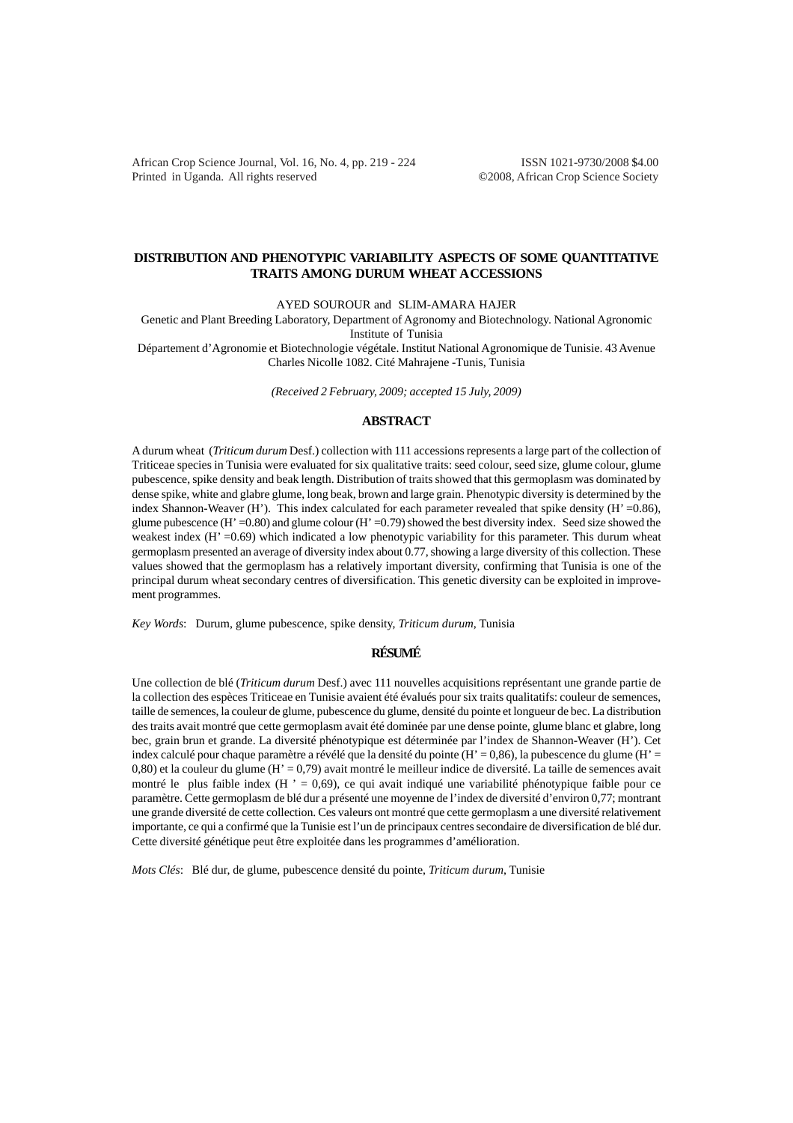African Crop Science Journal, Vol. 16, No. 4, pp. 219 - 224 ISSN 1021-9730/2008 \$4.00 Printed in Uganda. All rights reserved ©2008, African Crop Science Society

# **DISTRIBUTION AND PHENOTYPIC VARIABILITY ASPECTS OF SOME QUANTITATIVE TRAITS AMONG DURUM WHEAT A CCESSIONS**

AYED SOUROUR and SLIM-AMARA HAJER

Genetic and Plant Breeding Laboratory, Department of Agronomy and Biotechnology. National Agronomic Institute of Tunisia Département d'Agronomie et Biotechnologie végétale. Institut National Agronomique de Tunisie. 43 Avenue

Charles Nicolle 1082. Cité Mahrajene -Tunis, Tunisia

*(Received 2 February, 2009; accepted 15 July, 2009)*

# **ABSTRACT**

A durum wheat (*Triticum durum* Desf.) collection with 111 accessions represents a large part of the collection of Triticeae species in Tunisia were evaluated for six qualitative traits: seed colour, seed size, glume colour, glume pubescence, spike density and beak length. Distribution of traits showed that this germoplasm was dominated by dense spike, white and glabre glume, long beak, brown and large grain. Phenotypic diversity is determined by the index Shannon-Weaver (H'). This index calculated for each parameter revealed that spike density (H' =0.86), glume pubescence (H' =0.80) and glume colour (H' =0.79) showed the best diversity index. Seed size showed the weakest index (H' = 0.69) which indicated a low phenotypic variability for this parameter. This durum wheat germoplasm presented an average of diversity index about 0.77, showing a large diversity of this collection. These values showed that the germoplasm has a relatively important diversity, confirming that Tunisia is one of the principal durum wheat secondary centres of diversification. This genetic diversity can be exploited in improvement programmes.

*Key Words*: Durum, glume pubescence, spike density, *Triticum durum*, Tunisia

## **RÉSUMÉ**

Une collection de blé (*Triticum durum* Desf.) avec 111 nouvelles acquisitions représentant une grande partie de la collection des espèces Triticeae en Tunisie avaient été évalués pour six traits qualitatifs: couleur de semences, taille de semences, la couleur de glume, pubescence du glume, densité du pointe et longueur de bec. La distribution des traits avait montré que cette germoplasm avait été dominée par une dense pointe, glume blanc et glabre, long bec, grain brun et grande. La diversité phénotypique est déterminée par l'index de Shannon-Weaver (H'). Cet index calculé pour chaque paramètre a révélé que la densité du pointe (H' = 0,86), la pubescence du glume (H' = 0,80) et la couleur du glume (H' = 0,79) avait montré le meilleur indice de diversité. La taille de semences avait montré le plus faible index ( $H' = 0.69$ ), ce qui avait indiqué une variabilité phénotypique faible pour ce paramètre. Cette germoplasm de blé dur a présenté une moyenne de l'index de diversité d'environ 0,77; montrant une grande diversité de cette collection. Ces valeurs ont montré que cette germoplasm a une diversité relativement importante, ce qui a confirmé que la Tunisie est l'un de principaux centres secondaire de diversification de blé dur. Cette diversité génétique peut être exploitée dans les programmes d'amélioration.

*Mots Clés*: Blé dur, de glume, pubescence densité du pointe, *Triticum durum*, Tunisie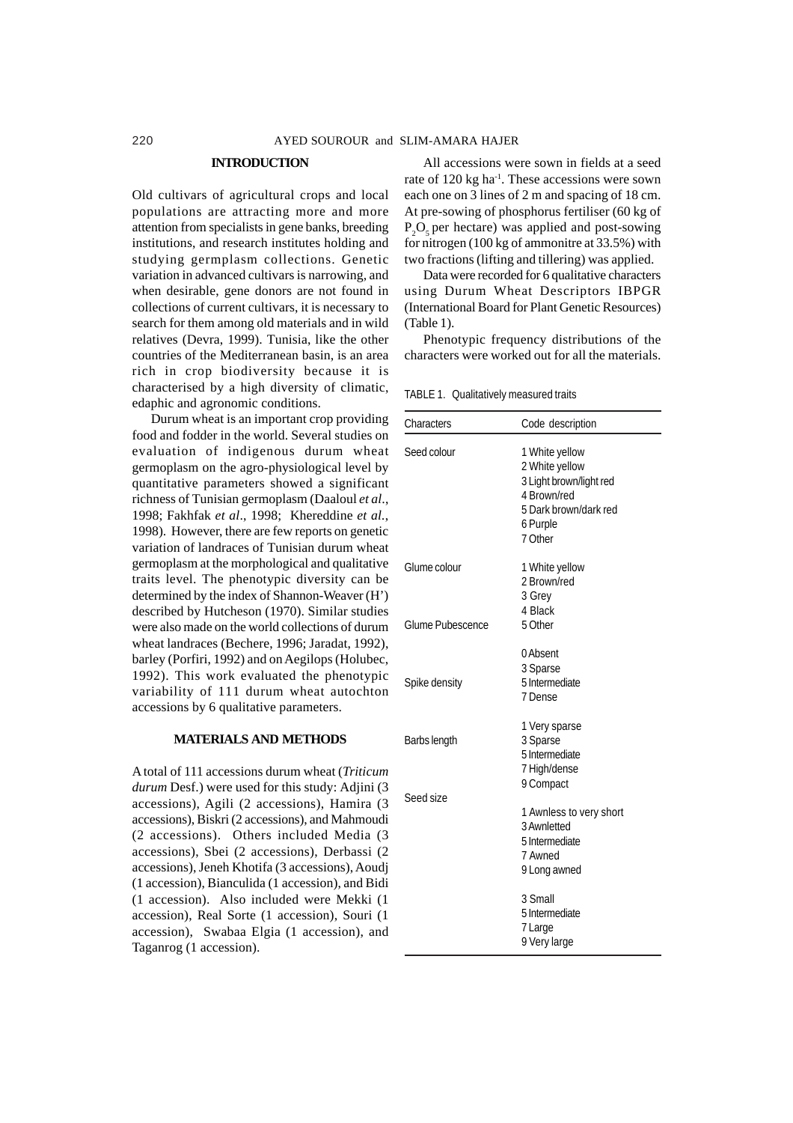#### **INTRODUCTION**

Old cultivars of agricultural crops and local populations are attracting more and more attention from specialists in gene banks, breeding institutions, and research institutes holding and studying germplasm collections. Genetic variation in advanced cultivars is narrowing, and when desirable, gene donors are not found in collections of current cultivars, it is necessary to search for them among old materials and in wild relatives (Devra, 1999). Tunisia, like the other countries of the Mediterranean basin, is an area rich in crop biodiversity because it is characterised by a high diversity of climatic, edaphic and agronomic conditions.

Durum wheat is an important crop providing food and fodder in the world. Several studies on evaluation of indigenous durum wheat germoplasm on the agro-physiological level by quantitative parameters showed a significant richness of Tunisian germoplasm (Daaloul *et al*., 1998; Fakhfak *et al*., 1998; Khereddine *et al.*, 1998). However, there are few reports on genetic variation of landraces of Tunisian durum wheat germoplasm at the morphological and qualitative traits level. The phenotypic diversity can be determined by the index of Shannon-Weaver (H') described by Hutcheson (1970). Similar studies were also made on the world collections of durum wheat landraces (Bechere, 1996; Jaradat, 1992), barley (Porfiri, 1992) and on Aegilops (Holubec, 1992). This work evaluated the phenotypic variability of 111 durum wheat autochton accessions by 6 qualitative parameters.

### **MATERIALS AND METHODS**

A total of 111 accessions durum wheat (*Triticum durum* Desf.) were used for this study: Adjini (3 accessions), Agili (2 accessions), Hamira (3 accessions), Biskri (2 accessions), and Mahmoudi (2 accessions). Others included Media (3 accessions), Sbei (2 accessions), Derbassi (2 accessions), Jeneh Khotifa (3 accessions), Aoudj (1 accession), Bianculida (1 accession), and Bidi (1 accession). Also included were Mekki (1 accession), Real Sorte (1 accession), Souri (1 accession), Swabaa Elgia (1 accession), and Taganrog (1 accession).

All accessions were sown in fields at a seed rate of 120 kg ha<sup>-1</sup>. These accessions were sown each one on 3 lines of 2 m and spacing of 18 cm. At pre-sowing of phosphorus fertiliser (60 kg of  $P_2O_5$  per hectare) was applied and post-sowing for nitrogen (100 kg of ammonitre at 33.5%) with two fractions (lifting and tillering) was applied.

Data were recorded for 6 qualitative characters using Durum Wheat Descriptors IBPGR (International Board for Plant Genetic Resources) (Table 1).

Phenotypic frequency distributions of the characters were worked out for all the materials.

TABLE 1. Qualitatively measured traits

| Characters                       | Code description                                                                                                           |
|----------------------------------|----------------------------------------------------------------------------------------------------------------------------|
| Seed colour                      | 1 White yellow<br>2 White yellow<br>3 Light brown/light red<br>4 Brown/red<br>5 Dark brown/dark red<br>6 Purple<br>7 Other |
| Glume colour<br>Glume Pubescence | 1 White yellow<br>2 Brown/red<br>3 Grey<br>4 Black<br>5 Other                                                              |
| Spike density                    | 0 Absent<br>3 Sparse<br>5 Intermediate<br>7 Dense                                                                          |
| Barbs length                     | 1 Very sparse<br>3 Sparse<br>5 Intermediate<br>7 High/dense<br>9 Compact                                                   |
| Seed size                        | 1 Awnless to very short<br>3 Awnletted<br>5 Intermediate<br>7 Awned<br>9 Long awned                                        |
|                                  | 3 Small<br>5 Intermediate<br>7 Large<br>9 Very large                                                                       |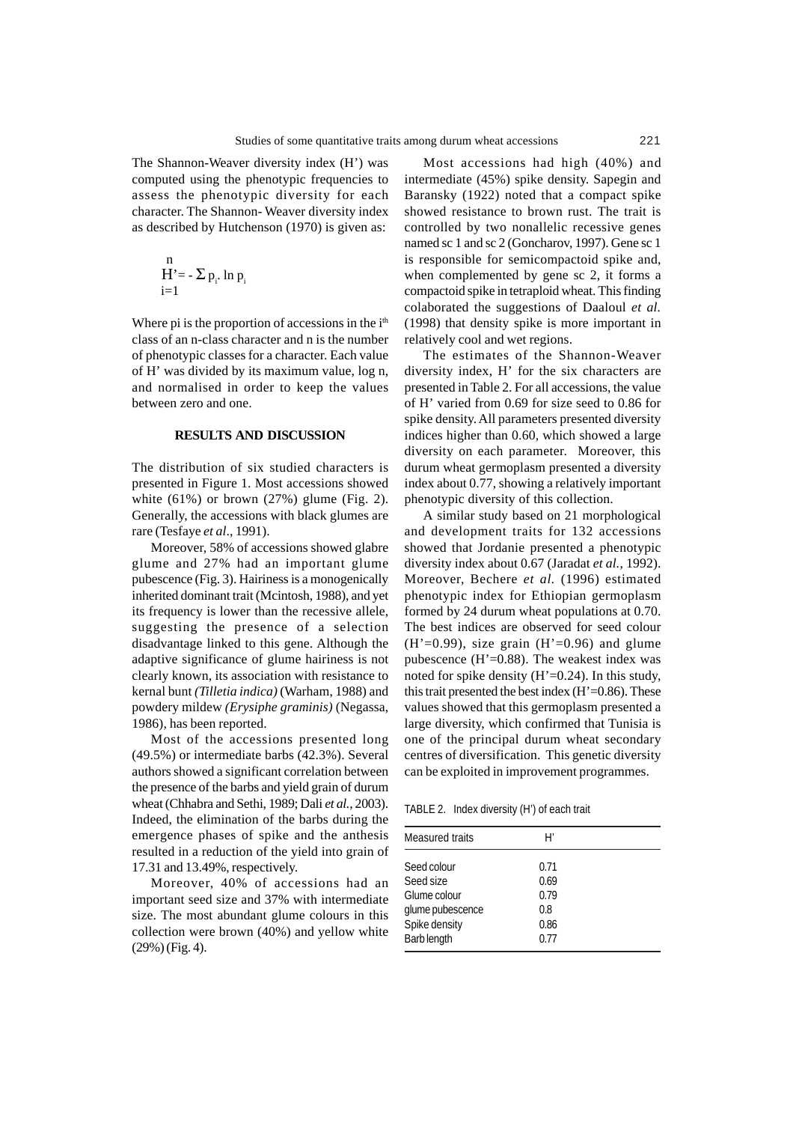The Shannon-Weaver diversity index (H') was computed using the phenotypic frequencies to assess the phenotypic diversity for each character. The Shannon- Weaver diversity index as described by Hutchenson (1970) is given as:

$$
\mathop{H}\limits_{i=1}^n -\Sigma\,p_{_i}. \ln p_{_i}
$$

Where pi is the proportion of accessions in the  $i<sup>th</sup>$ class of an n-class character and n is the number of phenotypic classes for a character. Each value of H' was divided by its maximum value, log n, and normalised in order to keep the values between zero and one.

### **RESULTS AND DISCUSSION**

The distribution of six studied characters is presented in Figure 1. Most accessions showed white  $(61\%)$  or brown  $(27\%)$  glume (Fig. 2). Generally, the accessions with black glumes are rare (Tesfaye *et al*., 1991).

Moreover, 58% of accessions showed glabre glume and 27% had an important glume pubescence (Fig. 3). Hairiness is a monogenically inherited dominant trait (Mcintosh, 1988), and yet its frequency is lower than the recessive allele, suggesting the presence of a selection disadvantage linked to this gene. Although the adaptive significance of glume hairiness is not clearly known, its association with resistance to kernal bunt *(Tilletia indica)* (Warham, 1988) and powdery mildew *(Erysiphe graminis)* (Negassa, 1986), has been reported.

Most of the accessions presented long (49.5%) or intermediate barbs (42.3%). Several authors showed a significant correlation between the presence of the barbs and yield grain of durum wheat (Chhabra and Sethi, 1989; Dali *et al.*, 2003). Indeed, the elimination of the barbs during the emergence phases of spike and the anthesis resulted in a reduction of the yield into grain of 17.31 and 13.49%, respectively.

Moreover, 40% of accessions had an important seed size and 37% with intermediate size. The most abundant glume colours in this collection were brown (40%) and yellow white (29%) (Fig. 4).

Most accessions had high (40%) and intermediate (45%) spike density. Sapegin and Baransky (1922) noted that a compact spike showed resistance to brown rust. The trait is controlled by two nonallelic recessive genes named sc 1 and sc 2 (Goncharov, 1997). Gene sc 1 is responsible for semicompactoid spike and, when complemented by gene sc 2, it forms a compactoid spike in tetraploid wheat. This finding colaborated the suggestions of Daaloul *et al.* (1998) that density spike is more important in relatively cool and wet regions.

The estimates of the Shannon-Weaver diversity index, H' for the six characters are presented in Table 2. For all accessions, the value of H' varied from 0.69 for size seed to 0.86 for spike density. All parameters presented diversity indices higher than 0.60, which showed a large diversity on each parameter. Moreover, this durum wheat germoplasm presented a diversity index about 0.77, showing a relatively important phenotypic diversity of this collection.

A similar study based on 21 morphological and development traits for 132 accessions showed that Jordanie presented a phenotypic diversity index about 0.67 (Jaradat *et al.,* 1992). Moreover, Bechere *et al.* (1996) estimated phenotypic index for Ethiopian germoplasm formed by 24 durum wheat populations at 0.70. The best indices are observed for seed colour  $(H'=0.99)$ , size grain  $(H'=0.96)$  and glume pubescence  $(H'=0.88)$ . The weakest index was noted for spike density  $(H'=0.24)$ . In this study, this trait presented the best index  $(H'=0.86)$ . These values showed that this germoplasm presented a large diversity, which confirmed that Tunisia is one of the principal durum wheat secondary centres of diversification. This genetic diversity can be exploited in improvement programmes.

TABLE 2. Index diversity (H') of each trait

| Measured traits  | H′   |  |
|------------------|------|--|
| Seed colour      | 0.71 |  |
| Seed size        | 0.69 |  |
| Glume colour     | 0.79 |  |
| glume pubescence | 0.8  |  |
| Spike density    | 0.86 |  |
| Barb length      | 0.77 |  |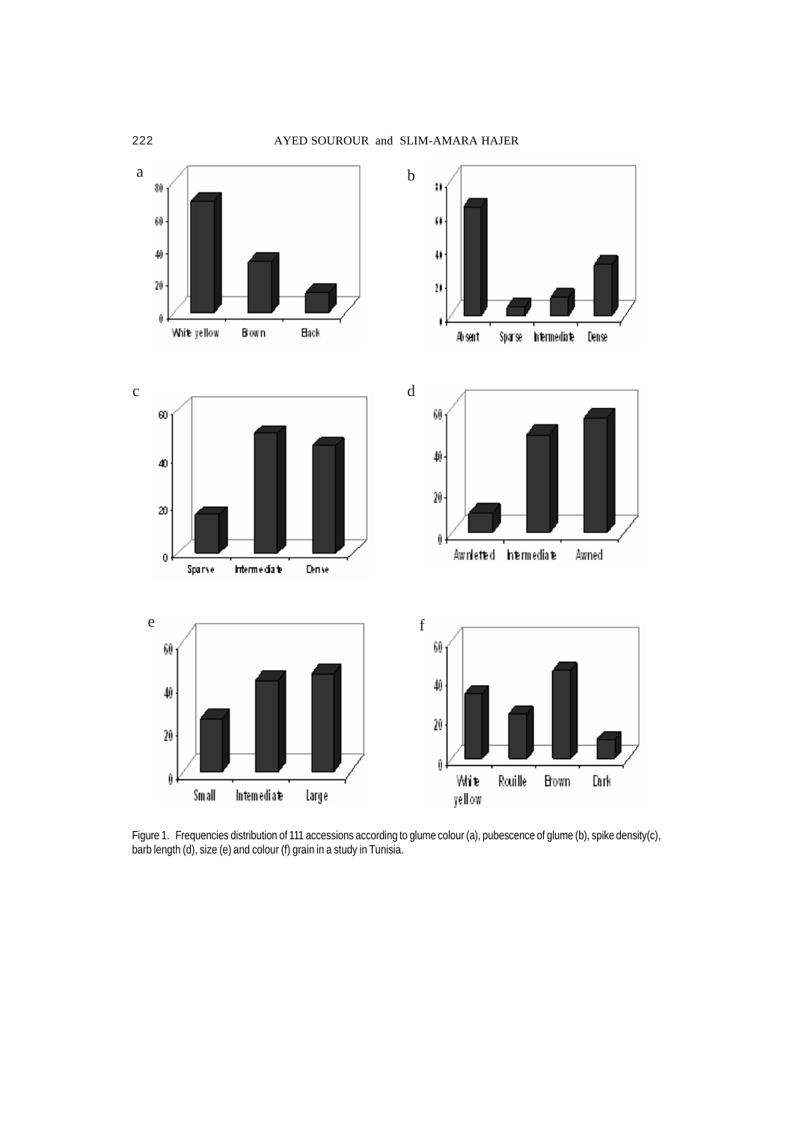

Figure 1. Frequencies distribution of 111 accessions according to glume colour (a), pubescence of glume (b), spike density(c), barb length (d), size (e) and colour (f) grain in a study in Tunisia.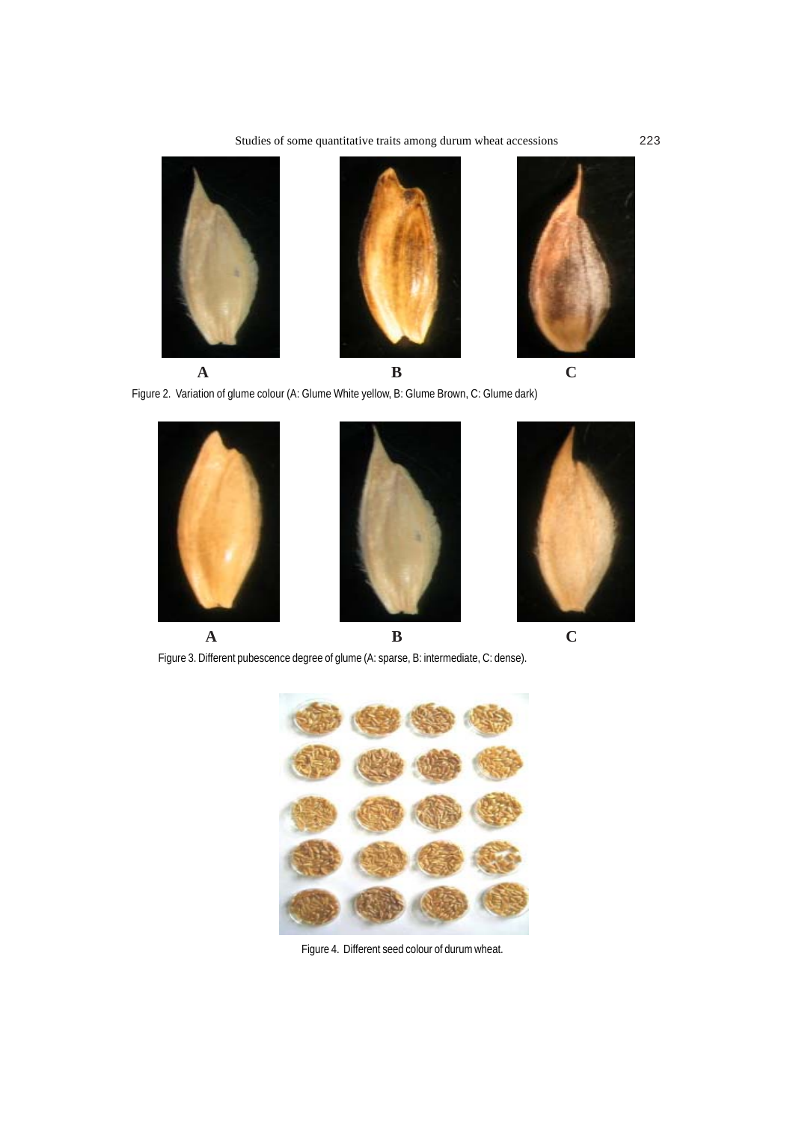

Figure 2. Variation of glume colour (A: Glume White yellow, B: Glume Brown, C: Glume dark)



Figure 3. Different pubescence degree of glume (A: sparse, B: intermediate, C: dense).



Figure 4. Different seed colour of durum wheat.